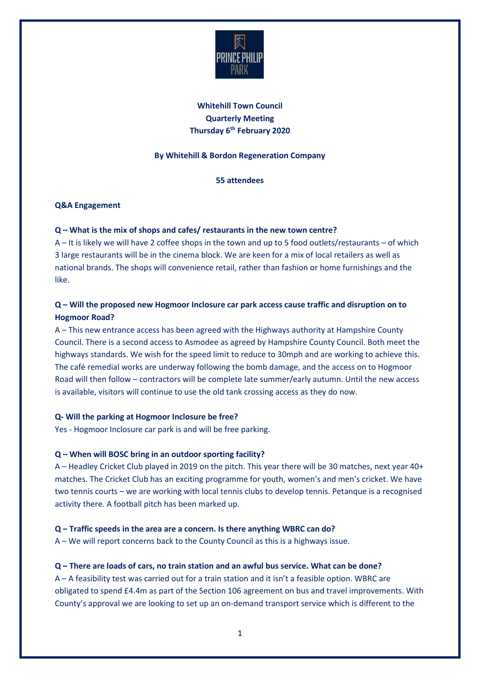

# **Whitehill Town Council Quarterly Meeting Thursday 6th February 2020**

## **By Whitehill & Bordon Regeneration Company**

**55 attendees** 

## **Q&A Engagement**

## **Q – What is the mix of shops and cafes/ restaurants in the new town centre?**

A – It is likely we will have 2 coffee shops in the town and up to 5 food outlets/restaurants – of which 3 large restaurants will be in the cinema block. We are keen for a mix of local retailers as well as national brands. The shops will convenience retail, rather than fashion or home furnishings and the like.

# **Q – Will the proposed new Hogmoor Inclosure car park access cause traffic and disruption on to Hogmoor Road?**

A – This new entrance access has been agreed with the Highways authority at Hampshire County Council. There is a second access to Asmodee as agreed by Hampshire County Council. Both meet the highways standards. We wish for the speed limit to reduce to 30mph and are working to achieve this. The café remedial works are underway following the bomb damage, and the access on to Hogmoor Road will then follow – contractors will be complete late summer/early autumn. Until the new access is available, visitors will continue to use the old tank crossing access as they do now.

## **Q- Will the parking at Hogmoor Inclosure be free?**

Yes - Hogmoor Inclosure car park is and will be free parking.

## **Q – When will BOSC bring in an outdoor sporting facility?**

A – Headley Cricket Club played in 2019 on the pitch. This year there will be 30 matches, next year 40+ matches. The Cricket Club has an exciting programme for youth, women's and men's cricket. We have two tennis courts – we are working with local tennis clubs to develop tennis. Petanque is a recognised activity there. A football pitch has been marked up.

## **Q – Traffic speeds in the area are a concern. Is there anything WBRC can do?**

A – We will report concerns back to the County Council as this is a highways issue.

## **Q – There are loads of cars, no train station and an awful bus service. What can be done?**

A – A feasibility test was carried out for a train station and it isn't a feasible option. WBRC are obligated to spend £4.4m as part of the Section 106 agreement on bus and travel improvements. With County's approval we are looking to set up an on-demand transport service which is different to the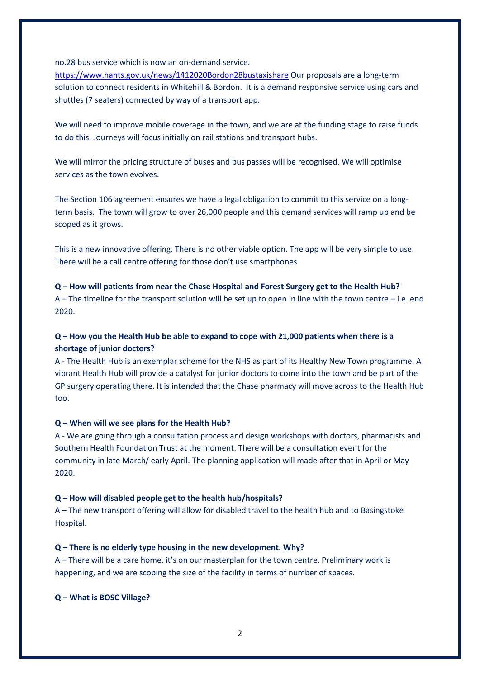no.28 bus service which is now an on-demand service.

<https://www.hants.gov.uk/news/1412020Bordon28bustaxishare> Our proposals are a long-term solution to connect residents in Whitehill & Bordon. It is a demand responsive service using cars and shuttles (7 seaters) connected by way of a transport app.

We will need to improve mobile coverage in the town, and we are at the funding stage to raise funds to do this. Journeys will focus initially on rail stations and transport hubs.

We will mirror the pricing structure of buses and bus passes will be recognised. We will optimise services as the town evolves.

The Section 106 agreement ensures we have a legal obligation to commit to this service on a longterm basis. The town will grow to over 26,000 people and this demand services will ramp up and be scoped as it grows.

This is a new innovative offering. There is no other viable option. The app will be very simple to use. There will be a call centre offering for those don't use smartphones

**Q – How will patients from near the Chase Hospital and Forest Surgery get to the Health Hub?** A – The timeline for the transport solution will be set up to open in line with the town centre – i.e. end 2020.

## **Q – How you the Health Hub be able to expand to cope with 21,000 patients when there is a shortage of junior doctors?**

A - The Health Hub is an exemplar scheme for the NHS as part of its Healthy New Town programme. A vibrant Health Hub will provide a catalyst for junior doctors to come into the town and be part of the GP surgery operating there. It is intended that the Chase pharmacy will move across to the Health Hub too.

#### **Q – When will we see plans for the Health Hub?**

A - We are going through a consultation process and design workshops with doctors, pharmacists and Southern Health Foundation Trust at the moment. There will be a consultation event for the community in late March/ early April. The planning application will made after that in April or May 2020.

## **Q – How will disabled people get to the health hub/hospitals?**

A – The new transport offering will allow for disabled travel to the health hub and to Basingstoke Hospital.

#### **Q – There is no elderly type housing in the new development. Why?**

A – There will be a care home, it's on our masterplan for the town centre. Preliminary work is happening, and we are scoping the size of the facility in terms of number of spaces.

**Q – What is BOSC Village?**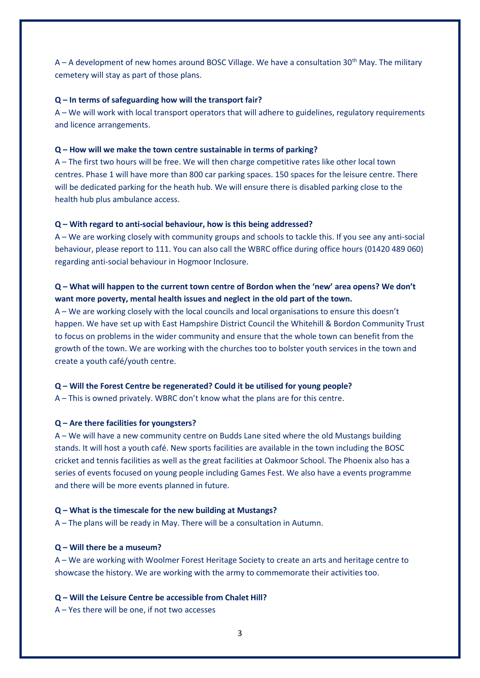A – A development of new homes around BOSC Village. We have a consultation 30<sup>th</sup> May. The military cemetery will stay as part of those plans.

#### **Q – In terms of safeguarding how will the transport fair?**

A – We will work with local transport operators that will adhere to guidelines, regulatory requirements and licence arrangements.

#### **Q – How will we make the town centre sustainable in terms of parking?**

A – The first two hours will be free. We will then charge competitive rates like other local town centres. Phase 1 will have more than 800 car parking spaces. 150 spaces for the leisure centre. There will be dedicated parking for the heath hub. We will ensure there is disabled parking close to the health hub plus ambulance access.

#### **Q – With regard to anti-social behaviour, how is this being addressed?**

A – We are working closely with community groups and schools to tackle this. If you see any anti-social behaviour, please report to 111. You can also call the WBRC office during office hours (01420 489 060) regarding anti-social behaviour in Hogmoor Inclosure.

# **Q – What will happen to the current town centre of Bordon when the 'new' area opens? We don't want more poverty, mental health issues and neglect in the old part of the town.**

A – We are working closely with the local councils and local organisations to ensure this doesn't happen. We have set up with East Hampshire District Council the Whitehill & Bordon Community Trust to focus on problems in the wider community and ensure that the whole town can benefit from the growth of the town. We are working with the churches too to bolster youth services in the town and create a youth café/youth centre.

#### **Q – Will the Forest Centre be regenerated? Could it be utilised for young people?**

A – This is owned privately. WBRC don't know what the plans are for this centre.

#### **Q – Are there facilities for youngsters?**

A – We will have a new community centre on Budds Lane sited where the old Mustangs building stands. It will host a youth café. New sports facilities are available in the town including the BOSC cricket and tennis facilities as well as the great facilities at Oakmoor School. The Phoenix also has a series of events focused on young people including Games Fest. We also have a events programme and there will be more events planned in future.

#### **Q – What is the timescale for the new building at Mustangs?**

A – The plans will be ready in May. There will be a consultation in Autumn.

#### **Q – Will there be a museum?**

A – We are working with Woolmer Forest Heritage Society to create an arts and heritage centre to showcase the history. We are working with the army to commemorate their activities too.

### **Q – Will the Leisure Centre be accessible from Chalet Hill?**

A – Yes there will be one, if not two accesses